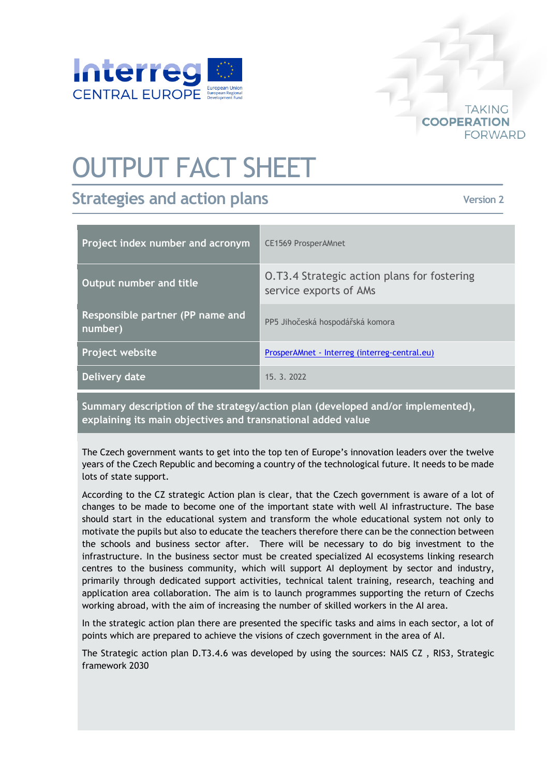

## OUTPUT FACT SHEET

## **Strategies and action plans**

**Version 2**

**TAKING** 

FORWARD

**COOPERATION** 

| Project index number and acronym            | <b>CE1569 ProsperAMnet</b>                                                   |
|---------------------------------------------|------------------------------------------------------------------------------|
| Output number and title                     | <b>O.T3.4 Strategic action plans for fostering</b><br>service exports of AMs |
| Responsible partner (PP name and<br>number) | PP5 Jihočeská hospodářská komora                                             |
| Project website                             | ProsperAMnet - Interreg (interreg-central.eu)                                |
| Delivery date                               | 15. 3. 2022                                                                  |

**Summary description of the strategy/action plan (developed and/or implemented), explaining its main objectives and transnational added value**

The Czech government wants to get into the top ten of Europe's innovation leaders over the twelve years of the Czech Republic and becoming a country of the technological future. It needs to be made lots of state support.

According to the CZ strategic Action plan is clear, that the Czech government is aware of a lot of changes to be made to become one of the important state with well AI infrastructure. The base should start in the educational system and transform the whole educational system not only to motivate the pupils but also to educate the teachers therefore there can be the connection between the schools and business sector after. There will be necessary to do big investment to the infrastructure. In the business sector must be created specialized AI ecosystems linking research centres to the business community, which will support AI deployment by sector and industry, primarily through dedicated support activities, technical talent training, research, teaching and application area collaboration. The aim is to launch programmes supporting the return of Czechs working abroad, with the aim of increasing the number of skilled workers in the AI area.

In the strategic action plan there are presented the specific tasks and aims in each sector, a lot of points which are prepared to achieve the visions of czech government in the area of AI.

The Strategic action plan D.T3.4.6 was developed by using the sources: [NAIS](https://www.vlada.cz/assets/evropske-zalezitosti/umela-inteligence/NAIS_kveten_2019.pdf) CZ , [RIS3,](https://www.kraj-jihocesky.cz/sites/default/files/inline-files/ris_jk.pdf) Strategic [framework](https://www.vlada.cz/assets/ppov/udrzitelny-rozvoj/projekt-OPZ/Strategic_Framework_CZ2030.pdf) 2030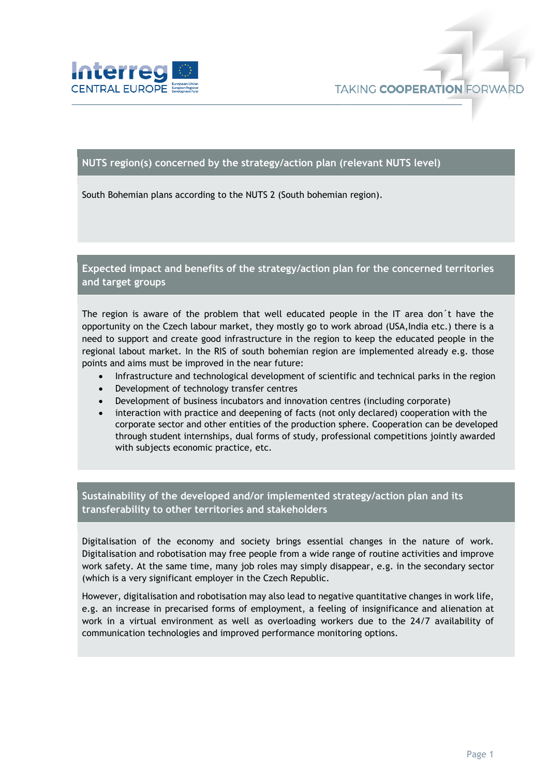

## **NUTS region(s) concerned by the strategy/action plan (relevant NUTS level)**

South Bohemian plans according to the NUTS 2 (South bohemian region).

**Expected impact and benefits of the strategy/action plan for the concerned territories and target groups**

The region is aware of the problem that well educated people in the IT area don´t have the opportunity on the Czech labour market, they mostly go to work abroad (USA,India etc.) there is a need to support and create good infrastructure in the region to keep the educated people in the regional labout market. In the RIS of south bohemian region are implemented already e.g. those points and aims must be improved in the near future:

- Infrastructure and technological development of scientific and technical parks in the region
- Development of technology transfer centres
- Development of business incubators and innovation centres (including corporate)
- interaction with practice and deepening of facts (not only declared) cooperation with the corporate sector and other entities of the production sphere. Cooperation can be developed through student internships, dual forms of study, professional competitions jointly awarded with subjects economic practice, etc.

**Sustainability of the developed and/or implemented strategy/action plan and its transferability to other territories and stakeholders**

Digitalisation of the economy and society brings essential changes in the nature of work. Digitalisation and robotisation may free people from a wide range of routine activities and improve work safety. At the same time, many job roles may simply disappear, e.g. in the secondary sector (which is a very significant employer in the Czech Republic.

However, digitalisation and robotisation may also lead to negative quantitative changes in work life, e.g. an increase in precarised forms of employment, a feeling of insignificance and alienation at work in a virtual environment as well as overloading workers due to the 24/7 availability of communication technologies and improved performance monitoring options.